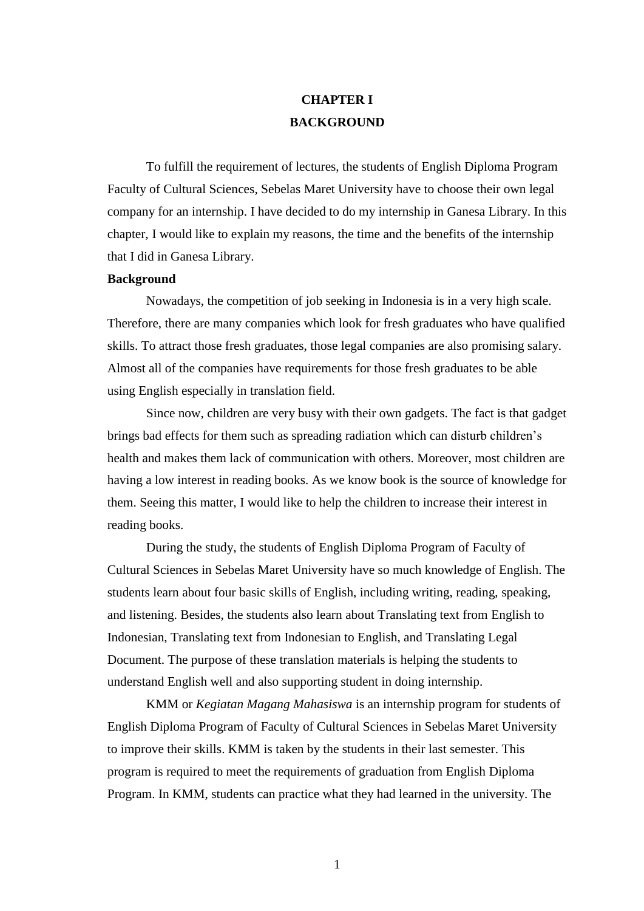## **CHAPTER I BACKGROUND**

To fulfill the requirement of lectures, the students of English Diploma Program Faculty of Cultural Sciences, Sebelas Maret University have to choose their own legal company for an internship. I have decided to do my internship in Ganesa Library. In this chapter, I would like to explain my reasons, the time and the benefits of the internship that I did in Ganesa Library.

## **Background**

Nowadays, the competition of job seeking in Indonesia is in a very high scale. Therefore, there are many companies which look for fresh graduates who have qualified skills. To attract those fresh graduates, those legal companies are also promising salary. Almost all of the companies have requirements for those fresh graduates to be able using English especially in translation field.

Since now, children are very busy with their own gadgets. The fact is that gadget brings bad effects for them such as spreading radiation which can disturb children's health and makes them lack of communication with others. Moreover, most children are having a low interest in reading books. As we know book is the source of knowledge for them. Seeing this matter, I would like to help the children to increase their interest in reading books.

During the study, the students of English Diploma Program of Faculty of Cultural Sciences in Sebelas Maret University have so much knowledge of English. The students learn about four basic skills of English, including writing, reading, speaking, and listening. Besides, the students also learn about Translating text from English to Indonesian, Translating text from Indonesian to English, and Translating Legal Document. The purpose of these translation materials is helping the students to understand English well and also supporting student in doing internship.

KMM or *Kegiatan Magang Mahasiswa* is an internship program for students of English Diploma Program of Faculty of Cultural Sciences in Sebelas Maret University to improve their skills. KMM is taken by the students in their last semester. This program is required to meet the requirements of graduation from English Diploma Program. In KMM, students can practice what they had learned in the university. The

1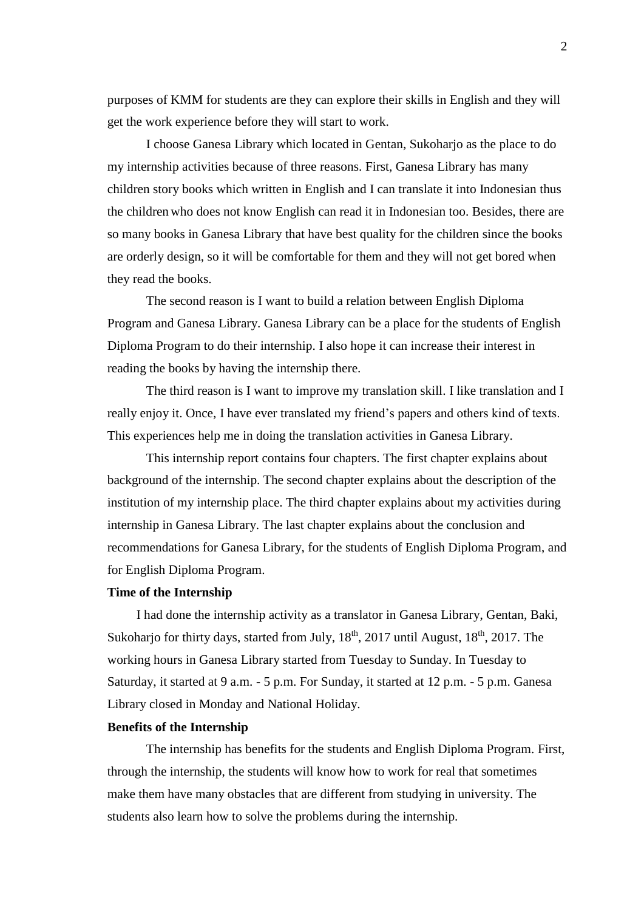purposes of KMM for students are they can explore their skills in English and they will get the work experience before they will start to work.

I choose Ganesa Library which located in Gentan, Sukoharjo as the place to do my internship activities because of three reasons. First, Ganesa Library has many children story books which written in English and I can translate it into Indonesian thus the children who does not know English can read it in Indonesian too. Besides, there are so many books in Ganesa Library that have best quality for the children since the books are orderly design, so it will be comfortable for them and they will not get bored when they read the books.

The second reason is I want to build a relation between English Diploma Program and Ganesa Library. Ganesa Library can be a place for the students of English Diploma Program to do their internship. I also hope it can increase their interest in reading the books by having the internship there.

The third reason is I want to improve my translation skill. I like translation and I really enjoy it. Once, I have ever translated my friend's papers and others kind of texts. This experiences help me in doing the translation activities in Ganesa Library.

This internship report contains four chapters. The first chapter explains about background of the internship. The second chapter explains about the description of the institution of my internship place. The third chapter explains about my activities during internship in Ganesa Library. The last chapter explains about the conclusion and recommendations for Ganesa Library, for the students of English Diploma Program, and for English Diploma Program.

## **Time of the Internship**

I had done the internship activity as a translator in Ganesa Library, Gentan, Baki, Sukoharjo for thirty days, started from July,  $18<sup>th</sup>$ ,  $2017$  until August,  $18<sup>th</sup>$ ,  $2017$ . The working hours in Ganesa Library started from Tuesday to Sunday. In Tuesday to Saturday, it started at 9 a.m. - 5 p.m. For Sunday, it started at 12 p.m. - 5 p.m. Ganesa Library closed in Monday and National Holiday.

## **Benefits of the Internship**

The internship has benefits for the students and English Diploma Program. First, through the internship, the students will know how to work for real that sometimes make them have many obstacles that are different from studying in university. The students also learn how to solve the problems during the internship.